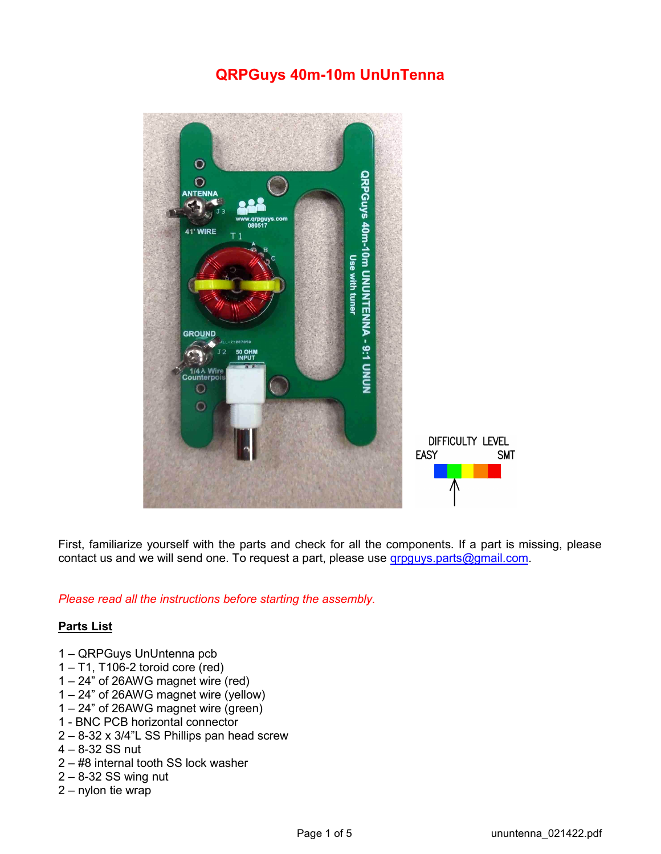# QRPGuys 40m-10m UnUnTenna



First, familiarize yourself with the parts and check for all the components. If a part is missing, please contact us and we will send one. To request a part, please use *grpguys.parts@gmail.com.* 

Please read all the instructions before starting the assembly.

# Parts List

- 1 QRPGuys UnUntenna pcb
- 1 T1, T106-2 toroid core (red)
- 1 24" of 26AWG magnet wire (red)
- 1 24" of 26AWG magnet wire (yellow)
- 1 24" of 26AWG magnet wire (green)
- 1 BNC PCB horizontal connector
- 2 8-32 x 3/4"L SS Phillips pan head screw
- 4 8-32 SS nut
- 2 #8 internal tooth SS lock washer
- 2 8-32 SS wing nut
- 2 nylon tie wrap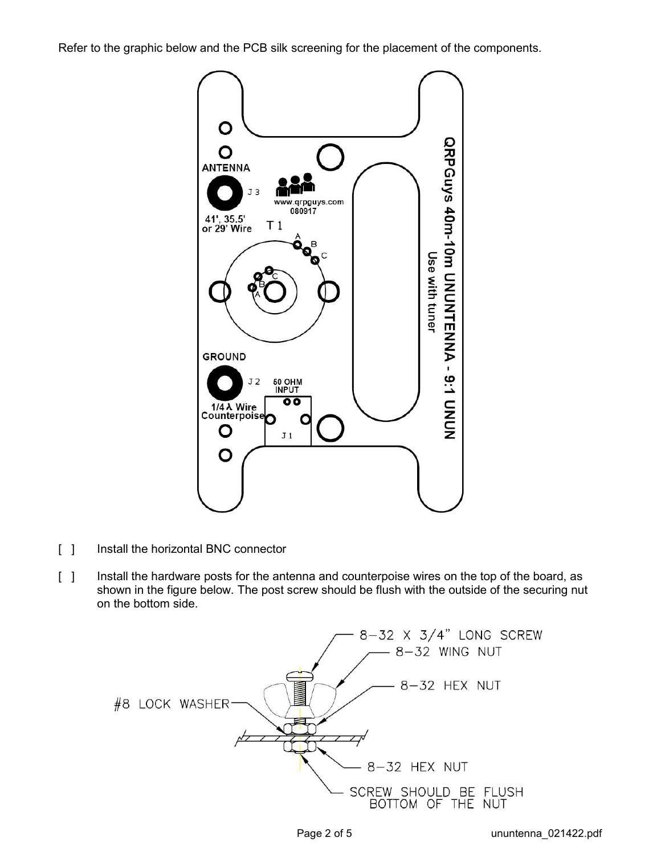Refer to the graphic below and the PCB silk screening for the placement of the components.



- [ ] Install the horizontal BNC connector
- [] Install the hardware posts for the antenna and counterpoise wires on the top of the board, as shown in the figure below. The post screw should be flush with the outside of the securing nut on the bottom side.

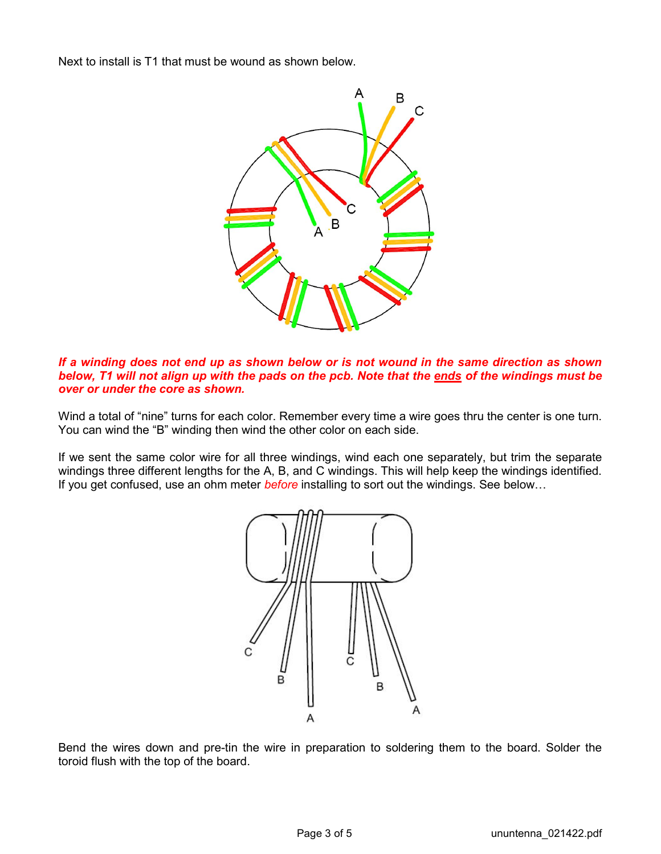Next to install is T1 that must be wound as shown below.



If a winding does not end up as shown below or is not wound in the same direction as shown below, T1 will not align up with the pads on the pcb. Note that the ends of the windings must be over or under the core as shown.

Wind a total of "nine" turns for each color. Remember every time a wire goes thru the center is one turn. You can wind the "B" winding then wind the other color on each side.

If we sent the same color wire for all three windings, wind each one separately, but trim the separate windings three different lengths for the A, B, and C windings. This will help keep the windings identified. If you get confused, use an ohm meter *before* installing to sort out the windings. See below...



Bend the wires down and pre-tin the wire in preparation to soldering them to the board. Solder the toroid flush with the top of the board.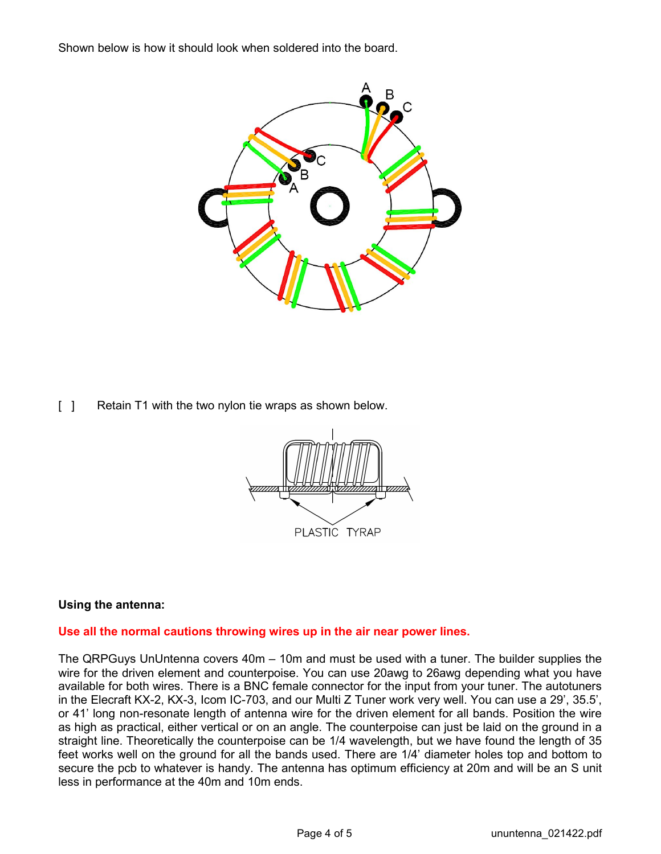Shown below is how it should look when soldered into the board.



# [ ] Retain T1 with the two nylon tie wraps as shown below.



#### Using the antenna:

# Use all the normal cautions throwing wires up in the air near power lines.

The QRPGuys UnUntenna covers 40m – 10m and must be used with a tuner. The builder supplies the wire for the driven element and counterpoise. You can use 20awg to 26awg depending what you have available for both wires. There is a BNC female connector for the input from your tuner. The autotuners in the Elecraft KX-2, KX-3, Icom IC-703, and our Multi Z Tuner work very well. You can use a 29', 35.5', or 41' long non-resonate length of antenna wire for the driven element for all bands. Position the wire as high as practical, either vertical or on an angle. The counterpoise can just be laid on the ground in a straight line. Theoretically the counterpoise can be 1/4 wavelength, but we have found the length of 35 feet works well on the ground for all the bands used. There are 1/4' diameter holes top and bottom to secure the pcb to whatever is handy. The antenna has optimum efficiency at 20m and will be an S unit less in performance at the 40m and 10m ends.